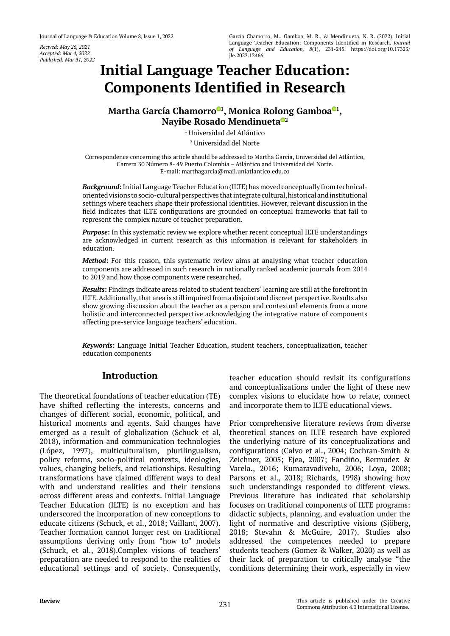*Recived: May 26, 2021 Accepted: Mar 4, 2022 Published: Mar 31, 2022*

# **[Initial Language Teacher Education:](https://orcid.org/0000-0002-7329-9870)  Components Identified in Research**

**Martha García Chamorro <sup>1</sup> , Monica Rolong Gambo[a](https://orcid.org/0000-0002-4179-5247) <sup>1</sup> , Nayibe Rosado Mendinuet[a](https://orcid.org/0000-0003-1865-2464) <sup>2</sup>**

> 1 Universidad del Atlántico 2 Universidad del Norte

Correspondence concerning this article should be addressed to Martha Garcia, Universidad del Atlántico, Carrera 30 Número 8- 49 Puerto Colombia – Atlántico and Universidad del Norte. E-mail: marthagarcia@mail.uniatlantico.edu.co

*Background***:** Initial Language Teacher Education (ILTE) has moved conceptually from technicaloriented visions to socio-cultural perspectives that integrate cultural, historical and institutional settings where teachers shape their professional identities. However, relevant discussion in the field indicates that ILTE configurations are grounded on conceptual frameworks that fail to represent the complex nature of teacher preparation.

*Purpose***:** In this systematic review we explore whether recent conceptual ILTE understandings are acknowledged in current research as this information is relevant for stakeholders in education.

*Method***:** For this reason, this systematic review aims at analysing what teacher education components are addressed in such research in nationally ranked academic journals from 2014 to 2019 and how those components were researched.

*Results***:** Findings indicate areas related to student teachers' learning are still at the forefront in ILTE. Additionally, that area is still inquired from a disjoint and discreet perspective. Results also show growing discussion about the teacher as a person and contextual elements from a more holistic and interconnected perspective acknowledging the integrative nature of components affecting pre-service language teachers' education.

*Keywords***:** Language Initial Teacher Education, student teachers, conceptualization, teacher education components

# **Introduction**

The theoretical foundations of teacher education (TE) have shifted reflecting the interests, concerns and changes of different social, economic, political, and historical moments and agents. Said changes have emerged as a result of globalization (Schuck et al, 2018), information and communication technologies (López, 1997), multiculturalism, plurilingualism, policy reforms, socio-political contexts, ideologies, values, changing beliefs, and relationships. Resulting transformations have claimed different ways to deal with and understand realities and their tensions across different areas and contexts. Initial Language Teacher Education (ILTE) is no exception and has underscored the incorporation of new conceptions to educate citizens (Schuck, et al., 2018; Vaillant, 2007). Teacher formation cannot longer rest on traditional assumptions deriving only from "how to" models (Schuck, et al., 2018).Complex visions of teachers' preparation are needed to respond to the realities of educational settings and of society. Consequently,

teacher education should revisit its configurations and conceptualizations under the light of these new complex visions to elucidate how to relate, connect and incorporate them to ILTE educational views.

Prior comprehensive literature reviews from diverse theoretical stances on ILTE research have explored the underlying nature of its conceptualizations and configurations (Calvo et al., 2004; Cochran-Smith & Zeichner, 2005; Ejea, 2007; Fandiño, Bermudez & Varela., 2016; Kumaravadivelu, 2006; Loya, 2008; Parsons et al., 2018; Richards, 1998) showing how such understandings responded to different views. Previous literature has indicated that scholarship focuses on traditional components of ILTE programs: didactic subjects, planning, and evaluation under the light of normative and descriptive visions (Sjöberg, 2018; Stevahn & McGuire, 2017). Studies also addressed the competences needed to prepare students teachers (Gomez & Walker, 2020) as well as their lack of preparation to critically analyse "the conditions determining their work, especially in view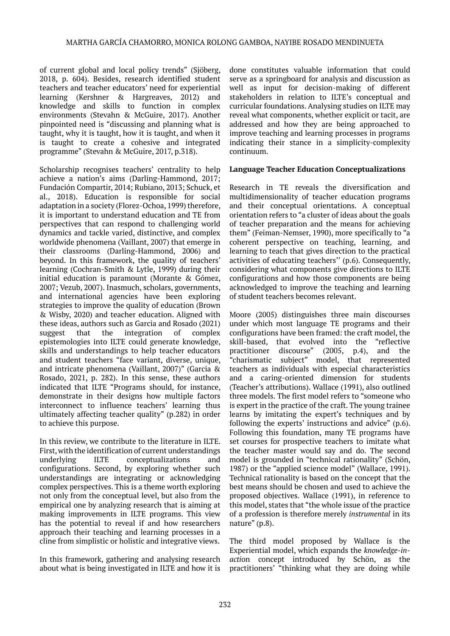of current global and local policy trends" (Sjöberg, 2018, p. 604). Besides, research identified student teachers and teacher educators' need for experiential learning (Kershner & Hargreaves, 2012) and knowledge and skills to function in complex environments (Stevahn & McGuire, 2017). Another pinpointed need is "discussing and planning what is taught, why it is taught, how it is taught, and when it is taught to create a cohesive and integrated programme" (Stevahn & McGuire, 2017, p.318).

Scholarship recognises teachers' centrality to help achieve a nation's aims (Darling-Hammond, 2017; Fundación Compartir, 2014; Rubiano, 2013; Schuck, et al., 2018). Education is responsible for social adaptation in a society (Florez-Ochoa, 1999) therefore, it is important to understand education and TE from perspectives that can respond to challenging world dynamics and tackle varied, distinctive, and complex worldwide phenomena (Vaillant, 2007) that emerge in their classrooms (Darling-Hammond, 2006) and beyond. In this framework, the quality of teachers' learning (Cochran-Smith & Lytle, 1999) during their initial education is paramount (Morante & Gómez, 2007; Vezub, 2007). Inasmuch, scholars, governments, and international agencies have been exploring strategies to improve the quality of education (Brown & Wisby, 2020) and teacher education. Aligned with these ideas, authors such as Garcia and Rosado (2021) suggest that the integration of complex epistemologies into ILTE could generate knowledge, skills and understandings to help teacher educators and student teachers "face variant, diverse, unique, and intricate phenomena (Vaillant, 2007)" (Garcia & Rosado, 2021, p. 282). In this sense, these authors indicated that ILTE "Programs should, for instance, demonstrate in their designs how multiple factors interconnect to influence teachers' learning thus ultimately affecting teacher quality" (p.282) in order to achieve this purpose.

In this review, we contribute to the literature in ILTE. First, with the identification of current understandings underlying ILTE conceptualizations and configurations. Second, by exploring whether such understandings are integrating or acknowledging complex perspectives. This is a theme worth exploring not only from the conceptual level, but also from the empirical one by analyzing research that is aiming at making improvements in ILTE programs. This view has the potential to reveal if and how researchers approach their teaching and learning processes in a cline from simplistic or holistic and integrative views.

In this framework, gathering and analysing research about what is being investigated in ILTE and how it is

done constitutes valuable information that could serve as a springboard for analysis and discussion as well as input for decision-making of different stakeholders in relation to ILTE's conceptual and curricular foundations. Analysing studies on ILTE may reveal what components, whether explicit or tacit, are addressed and how they are being approached to improve teaching and learning processes in programs indicating their stance in a simplicity-complexity continuum.

#### **Language Teacher Education Conceptualizations**

Research in TE reveals the diversification and multidimensionality of teacher education programs and their conceptual orientations. A conceptual orientation refers to "a cluster of ideas about the goals of teacher preparation and the means for achieving them" (Feiman-Nemser, 1990), more specifically to "a coherent perspective on teaching, learning, and learning to teach that gives direction to the practical activities of educating teachers'' (p.6). Consequently, considering what components give directions to ILTE configurations and how those components are being acknowledged to improve the teaching and learning of student teachers becomes relevant.

Moore (2005) distinguishes three main discourses under which most language TE programs and their configurations have been framed: the craft model, the skill-based, that evolved into the "reflective practitioner discourse" (2005, p.4), and the "charismatic subject" model, that represented teachers as individuals with especial characteristics and a caring-oriented dimension for students (Teacher's attributions). Wallace (1991), also outlined three models. The first model refers to "someone who is expert in the practice of the craft. The young trainee learns by imitating the expert's techniques and by following the experts' instructions and advice" (p.6). Following this foundation, many TE programs have set courses for prospective teachers to imitate what the teacher master would say and do. The second model is grounded in "technical rationality" (Schön, 1987) or the "applied science model" (Wallace, 1991). Technical rationality is based on the concept that the best means should be chosen and used to achieve the proposed objectives. Wallace (1991), in reference to this model, states that "the whole issue of the practice of a profession is therefore merely *instrumental* in its nature" (p.8).

The third model proposed by Wallace is the Experiential model, which expands the *knowledge-inacti*on concept introduced by Schön, as the practitioners' "thinking what they are doing while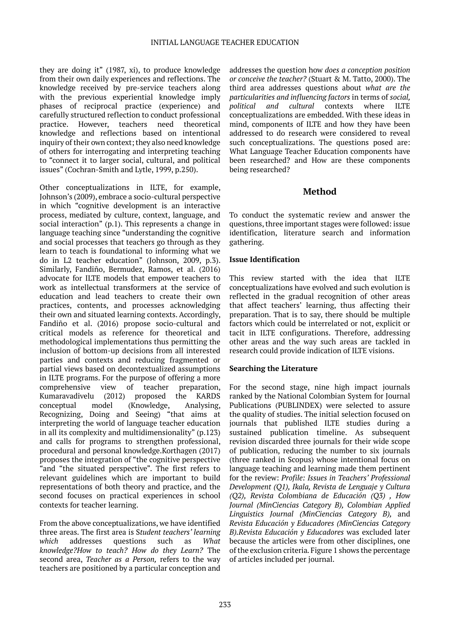they are doing it" (1987, xi), to produce knowledge from their own daily experiences and reflections. The knowledge received by pre-service teachers along with the previous experiential knowledge imply phases of reciprocal practice (experience) and carefully structured reflection to conduct professional practice. However, teachers need theoretical knowledge and reflections based on intentional inquiry of their own context; they also need knowledge of others for interrogating and interpreting teaching to "connect it to larger social, cultural, and political issues" (Cochran-Smith and Lytle, 1999, p.250).

Other conceptualizations in ILTE, for example, Johnson's (2009), embrace a socio-cultural perspective in which "cognitive development is an interactive process, mediated by culture, context, language, and social interaction" (p.1). This represents a change in language teaching since "understanding the cognitive and social processes that teachers go through as they learn to teach is foundational to informing what we do in L2 teacher education" (Johnson, 2009, p.3). Similarly, Fandiño, Bermudez, Ramos, et al. (2016) advocate for ILTE models that empower teachers to work as intellectual transformers at the service of education and lead teachers to create their own practices, contents, and processes acknowledging their own and situated learning contexts. Accordingly, Fandiño et al. (2016) propose socio-cultural and critical models as reference for theoretical and methodological implementations thus permitting the inclusion of bottom-up decisions from all interested parties and contexts and reducing fragmented or partial views based on decontextualized assumptions in ILTE programs. For the purpose of offering a more comprehensive view of teacher preparation, Kumaravadivelu (2012) proposed the KARDS conceptual model (Knowledge, Analysing, Recognizing, Doing and Seeing) "that aims at interpreting the world of language teacher education in all its complexity and multidimensionality" (p.123) and calls for programs to strengthen professional, procedural and personal knowledge.Korthagen (2017) proposes the integration of "the cognitive perspective "and "the situated perspective". The first refers to relevant guidelines which are important to build representations of both theory and practice, and the second focuses on practical experiences in school contexts for teacher learning.

From the above conceptualizations, we have identified three areas. The first area is S*tudent teachers' learning which* addresses questions such as *What knowledge?How to teach? How do they Learn?* The second area, *Teacher as a Person,* refers to the way teachers are positioned by a particular conception and

addresses the question how *does a conception position or conceive the teacher?* (Stuart & M. Tatto, 2000). The third area addresses questions about *what are the particularities and influencing factors* in terms of *social, political and cultural* contexts where ILTE conceptualizations are embedded. With these ideas in mind, components of ILTE and how they have been addressed to do research were considered to reveal such conceptualizations. The questions posed are: What Language Teacher Education components have been researched? and How are these components being researched?

### **Method**

To conduct the systematic review and answer the questions, three important stages were followed: issue identification, literature search and information gathering.

#### **Issue Identification**

This review started with the idea that ILTE conceptualizations have evolved and such evolution is reflected in the gradual recognition of other areas that affect teachers' learning, thus affecting their preparation. That is to say, there should be multiple factors which could be interrelated or not, explicit or tacit in ILTE configurations. Therefore, addressing other areas and the way such areas are tackled in research could provide indication of ILTE visions.

#### **Searching the Literature**

For the second stage, nine high impact journals ranked by the National Colombian System for Journal Publications (PUBLINDEX) were selected to assure the quality of studies. The initial selection focused on journals that published ILTE studies during a sustained publication timeline. As subsequent revision discarded three journals for their wide scope of publication, reducing the number to six journals (three ranked in Scopus) whose intentional focus on language teaching and learning made them pertinent for the review: *Profile: Issues in Teachers' Professional Development (Q1), Ikala, Revista de Lenguaje y Cultura (Q2), Revista Colombiana de Educación (Q3) , How Journal (MinCiencias Category B), Colombian Applied Linguistics Journal (MinCiencias Category B),* and *Revista Educación y Educadores (MinCiencias Category B).Revista Educación y Educadores* was excluded later because the articles were from other disciplines, one of the exclusion criteria*.* Figure 1 shows the percentage of articles included per journal.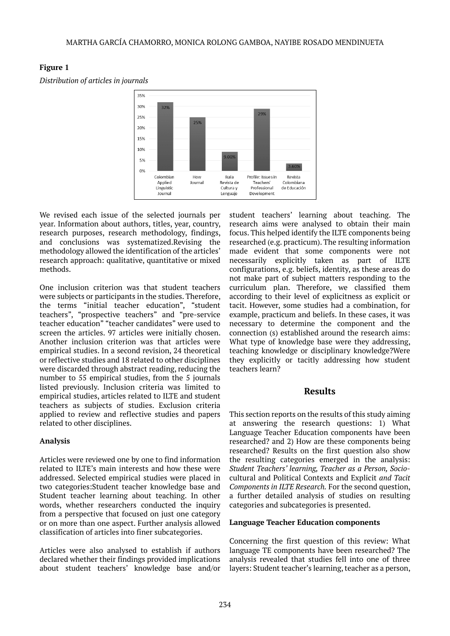

# **Figure 1**

*Distribution of articles in journals*

We revised each issue of the selected journals per year. Information about authors, titles, year, country, research purposes, research methodology, findings, and conclusions was systematized.Revising the methodology allowed the identification of the articles' research approach: qualitative, quantitative or mixed methods.

One inclusion criterion was that student teachers were subjects or participants in the studies. Therefore, the terms "initial teacher education", "student teachers", "prospective teachers" and "pre-service teacher education" "teacher candidates" were used to screen the articles. 97 articles were initially chosen. Another inclusion criterion was that articles were empirical studies. In a second revision, 24 theoretical or reflective studies and 18 related to other disciplines were discarded through abstract reading, reducing the number to 55 empirical studies, from the 5 journals listed previously. Inclusion criteria was limited to empirical studies, articles related to ILTE and student teachers as subjects of studies. Exclusion criteria applied to review and reflective studies and papers related to other disciplines.

### **Analysis**

Articles were reviewed one by one to find information related to ILTE's main interests and how these were addressed. Selected empirical studies were placed in two categories:Student teacher knowledge base and Student teacher learning about teaching. In other words, whether researchers conducted the inquiry from a perspective that focused on just one category or on more than one aspect. Further analysis allowed classification of articles into finer subcategories.

Articles were also analysed to establish if authors declared whether their findings provided implications about student teachers' knowledge base and/or student teachers' learning about teaching. The research aims were analysed to obtain their main focus. This helped identify the ILTE components being researched (e.g. practicum). The resulting information made evident that some components were not necessarily explicitly taken as part of ILTE configurations, e.g. beliefs, identity, as these areas do not make part of subject matters responding to the curriculum plan. Therefore, we classified them according to their level of explicitness as explicit or tacit. However, some studies had a combination, for example, practicum and beliefs. In these cases, it was necessary to determine the component and the connection (s) established around the research aims: What type of knowledge base were they addressing, teaching knowledge or disciplinary knowledge?Were they explicitly or tacitly addressing how student teachers learn?

# **Results**

This section reports on the results of this study aiming at answering the research questions: 1) What Language Teacher Education components have been researched? and 2) How are these components being researched? Results on the first question also show the resulting categories emerged in the analysis: *Student Teachers' learning, Teacher as a Person, Socio*cultural and Political Contexts and Explicit *and Tacit Components in ILTE Research.* For the second question, a further detailed analysis of studies on resulting categories and subcategories is presented.

### **Language Teacher Education components**

Concerning the first question of this review: What language TE components have been researched? The analysis revealed that studies fell into one of three layers: Student teacher's learning, teacher as a person,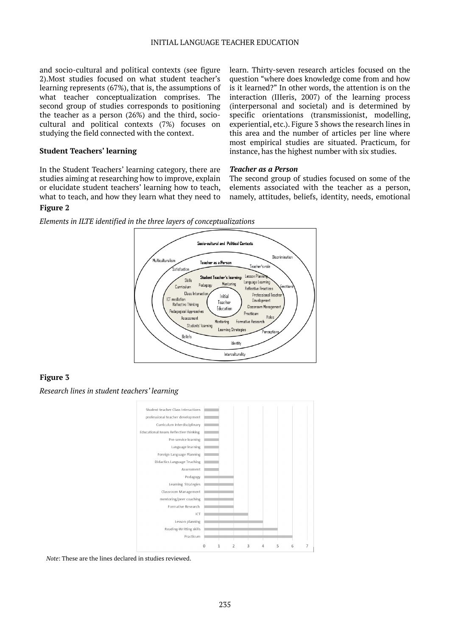and socio-cultural and political contexts (see figure 2).Most studies focused on what student teacher's learning represents (67%), that is, the assumptions of what teacher conceptualization comprises. The second group of studies corresponds to positioning the teacher as a person (26%) and the third, sociocultural and political contexts (7%) focuses on studying the field connected with the context.

#### **Student Teachers' learning**

In the Student Teachers' learning category, there are studies aiming at researching how to improve, explain or elucidate student teachers' learning how to teach, what to teach, and how they learn what they need to learn. Thirty-seven research articles focused on the question "where does knowledge come from and how is it learned?" In other words, the attention is on the interaction (IIIeris, 2007) of the learning process (interpersonal and societal) and is determined by specific orientations (transmissionist, modelling, experiential, etc.). Figure 3 shows the research lines in this area and the number of articles per line where most empirical studies are situated. Practicum, for instance, has the highest number with six studies.

#### *Teacher as a Person*

The second group of studies focused on some of the elements associated with the teacher as a person, namely, attitudes, beliefs, identity, needs, emotional

#### **Figure 2**

*Elements in ILTE identified in the three layers of conceptualizations*



### **Figure 3**

*Research lines in student teachers' learning*



*Note*: These are the lines declared in studies reviewed.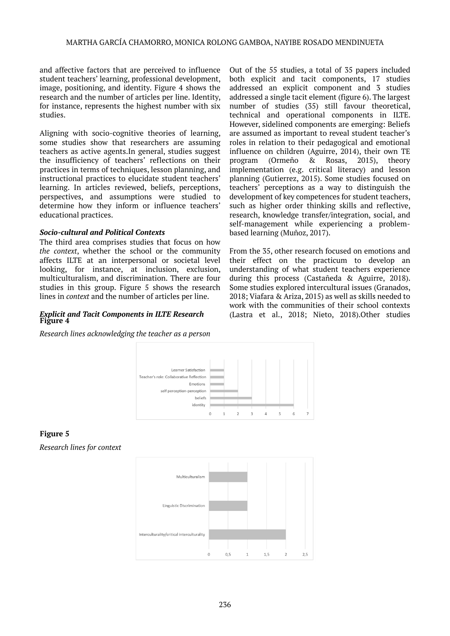and affective factors that are perceived to influence student teachers' learning, professional development, image, positioning, and identity. Figure 4 shows the research and the number of articles per line. Identity, for instance, represents the highest number with six studies.

Aligning with socio-cognitive theories of learning, some studies show that researchers are assuming teachers as active agents.In general, studies suggest the insufficiency of teachers' reflections on their practices in terms of techniques, lesson planning, and instructional practices to elucidate student teachers' learning. In articles reviewed, beliefs, perceptions, perspectives, and assumptions were studied to determine how they inform or influence teachers' educational practices.

#### *Socio-cultural and Political Contexts*

The third area comprises studies that focus on how *the context*, whether the school or the community affects ILTE at an interpersonal or societal level looking, for instance, at inclusion, exclusion, multiculturalism, and discrimination. There are four studies in this group. Figure 5 shows the research lines in *context* and the number of articles per line.

# *Explicit and Tacit Components in ILTE Research*

*Research lines acknowledging the teacher as a person*



# **Figure 5**

*Research lines for context*



Out of the 55 studies, a total of 35 papers included both explicit and tacit components, 17 studies addressed an explicit component and 3 studies addressed a single tacit element (figure 6). The largest number of studies (35) still favour theoretical, technical and operational components in ILTE. However, sidelined components are emerging: Beliefs are assumed as important to reveal student teacher's roles in relation to their pedagogical and emotional influence on children (Aguirre, 2014), their own TE program (Ormeño & Rosas, 2015), theory implementation (e.g. critical literacy) and lesson planning (Gutierrez, 2015). Some studies focused on teachers' perceptions as a way to distinguish the development of key competences for student teachers, such as higher order thinking skills and reflective, research, knowledge transfer/integration, social, and self-management while experiencing a problembased learning (Muñoz, 2017).

From the 35, other research focused on emotions and their effect on the practicum to develop an understanding of what student teachers experience during this process (Castañeda & Aguirre, 2018). Some studies explored intercultural issues (Granados, 2018; Viafara & Ariza, 2015) as well as skills needed to work with the communities of their school contexts (Lastra et al., 2018; Nieto, 2018). Other studies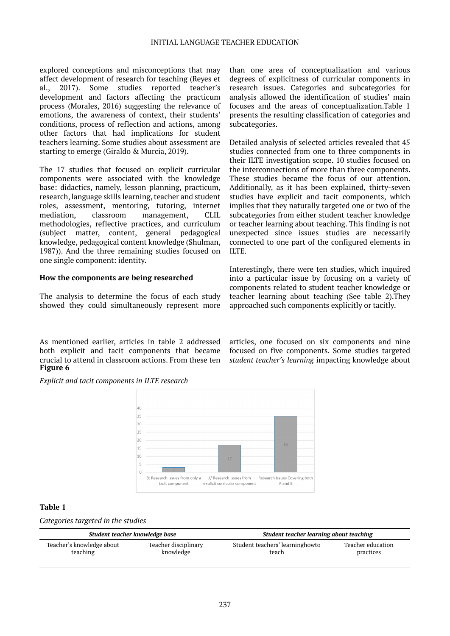#### INITIAL LANGUAGE TEACHER EDUCATION

explored conceptions and misconceptions that may affect development of research for teaching (Reyes et al., 2017). Some studies reported teacher's development and factors affecting the practicum process (Morales, 2016) suggesting the relevance of emotions, the awareness of context, their students' conditions, process of reflection and actions, among other factors that had implications for student teachers learning. Some studies about assessment are starting to emerge (Giraldo & Murcia, 2019).

The 17 studies that focused on explicit curricular components were associated with the knowledge base: didactics, namely, lesson planning, practicum, research, language skills learning, teacher and student roles, assessment, mentoring, tutoring, internet mediation, classroom management, CLIL methodologies, reflective practices, and curriculum (subject matter, content, general pedagogical knowledge, pedagogical content knowledge (Shulman, 1987)). And the three remaining studies focused on one single component: identity.

#### **How the components are being researched**

The analysis to determine the focus of each study showed they could simultaneously represent more

As mentioned earlier, articles in table 2 addressed both explicit and tacit components that became crucial to attend in classroom actions. From these ten **Figure 6**

than one area of conceptualization and various degrees of explicitness of curricular components in research issues. Categories and subcategories for analysis allowed the identification of studies' main focuses and the areas of conceptualization.Table 1 presents the resulting classification of categories and subcategories.

Detailed analysis of selected articles revealed that 45 studies connected from one to three components in their ILTE investigation scope. 10 studies focused on the interconnections of more than three components. These studies became the focus of our attention. Additionally, as it has been explained, thirty-seven studies have explicit and tacit components, which implies that they naturally targeted one or two of the subcategories from either student teacher knowledge or teacher learning about teaching. This finding is not unexpected since issues studies are necessarily connected to one part of the configured elements in ILTE.

Interestingly, there were ten studies, which inquired into a particular issue by focusing on a variety of components related to student teacher knowledge or teacher learning about teaching (See table 2).They approached such components explicitly or tacitly.

articles, one focused on six components and nine focused on five components. Some studies targeted *student teacher's learning* impacting knowledge about

*Explicit and tacit components in ILTE research*



#### **Table 1**

*Categories targeted in the studies*

| Student teacher knowledge base |                      | Student teacher learning about teaching |                   |  |  |
|--------------------------------|----------------------|-----------------------------------------|-------------------|--|--|
| Teacher's knowledge about      | Teacher disciplinary | Student teachers' learninghowto         | Teacher education |  |  |
| teaching                       | knowledge            | teach                                   | practices         |  |  |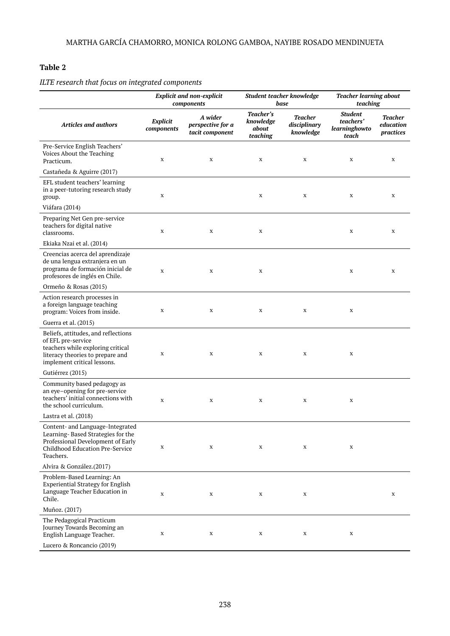### **Table 2**

|                                                                                                                                                                   | <b>Explicit and non-explicit</b><br>components |                                                 | Student teacher knowledge<br>base           |                                      | <b>Teacher learning about</b><br>teaching             |                                          |
|-------------------------------------------------------------------------------------------------------------------------------------------------------------------|------------------------------------------------|-------------------------------------------------|---------------------------------------------|--------------------------------------|-------------------------------------------------------|------------------------------------------|
| <b>Articles and authors</b>                                                                                                                                       | Explicit<br>components                         | A wider<br>perspective for a<br>tacit component | Teacher's<br>knowledge<br>about<br>teaching | Teacher<br>disciplinary<br>knowledge | <b>Student</b><br>teachers'<br>learninghowto<br>teach | <b>Teacher</b><br>education<br>practices |
| Pre-Service English Teachers'<br>Voices About the Teaching<br>Practicum.                                                                                          | X                                              | X                                               | X                                           | X                                    | X                                                     | X                                        |
| Castañeda & Aguirre (2017)                                                                                                                                        |                                                |                                                 |                                             |                                      |                                                       |                                          |
| EFL student teachers' learning<br>in a peer-tutoring research study<br>group.                                                                                     | $\mathbf X$                                    |                                                 | X                                           | X                                    | X                                                     | X                                        |
| Viáfara (2014)                                                                                                                                                    |                                                |                                                 |                                             |                                      |                                                       |                                          |
| Preparing Net Gen pre-service<br>teachers for digital native<br>classrooms.                                                                                       | X                                              | X                                               | X                                           |                                      | X                                                     | X                                        |
| Ekiaka Nzai et al. (2014)                                                                                                                                         |                                                |                                                 |                                             |                                      |                                                       |                                          |
| Creencias acerca del aprendizaje<br>de una lengua extranjera en un<br>programa de formación inicial de<br>profesores de inglés en Chile.                          | X                                              | X                                               | X                                           |                                      | X                                                     | X                                        |
| Ormeño & Rosas (2015)                                                                                                                                             |                                                |                                                 |                                             |                                      |                                                       |                                          |
| Action research processes in<br>a foreign language teaching<br>program: Voices from inside.                                                                       | X                                              | X                                               | X                                           | X                                    | $\mathbf X$                                           |                                          |
| Guerra et al. (2015)                                                                                                                                              |                                                |                                                 |                                             |                                      |                                                       |                                          |
| Beliefs, attitudes, and reflections<br>of EFL pre-service<br>teachers while exploring critical<br>literacy theories to prepare and<br>implement critical lessons. | X                                              | X                                               | X                                           | X                                    | $\mathbf X$                                           |                                          |
| Gutiérrez (2015)                                                                                                                                                  |                                                |                                                 |                                             |                                      |                                                       |                                          |
| Community based pedagogy as<br>an eye-opening for pre-service<br>teachers' initial connections with<br>the school curriculum.                                     | X                                              | X                                               | X                                           | X                                    | X                                                     |                                          |
| Lastra et al. (2018)                                                                                                                                              |                                                |                                                 |                                             |                                      |                                                       |                                          |
| Content- and Language-Integrated<br>Learning-Based Strategies for the<br>Professional Development of Early<br>Childhood Education Pre-Service<br>Teachers.        | X                                              | $\mathbf X$                                     | X                                           | X                                    | X                                                     |                                          |
| Alvira & González.(2017)                                                                                                                                          |                                                |                                                 |                                             |                                      |                                                       |                                          |
| Problem-Based Learning: An<br><b>Experiential Strategy for English</b><br>Language Teacher Education in<br>Chile.                                                 | X                                              | X                                               | X                                           | X                                    |                                                       | X                                        |
| Muñoz. (2017)                                                                                                                                                     |                                                |                                                 |                                             |                                      |                                                       |                                          |
| The Pedagogical Practicum<br>Journey Towards Becoming an<br>English Language Teacher.                                                                             | X                                              | X                                               | X                                           | X                                    | X                                                     |                                          |
| Lucero & Roncancio (2019)                                                                                                                                         |                                                |                                                 |                                             |                                      |                                                       |                                          |

*ILTE research that focus on integrated components*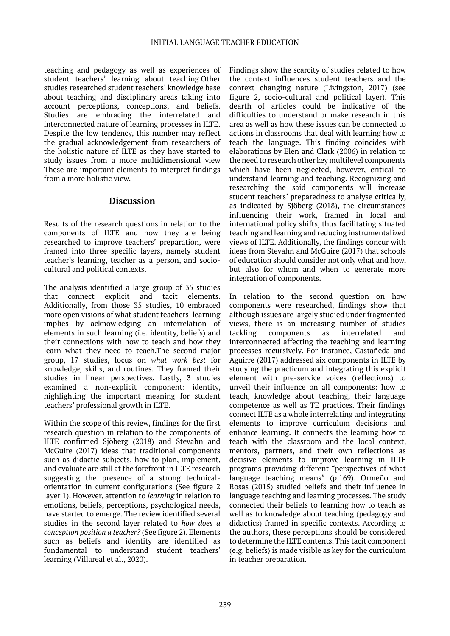teaching and pedagogy as well as experiences of student teachers' learning about teaching.Other studies researched student teachers' knowledge base about teaching and disciplinary areas taking into account perceptions, conceptions, and beliefs. Studies are embracing the interrelated and interconnected nature of learning processes in ILTE. Despite the low tendency, this number may reflect the gradual acknowledgement from researchers of the holistic nature of ILTE as they have started to study issues from a more multidimensional view These are important elements to interpret findings from a more holistic view.

#### **Discussion**

Results of the research questions in relation to the components of ILTE and how they are being researched to improve teachers' preparation, were framed into three specific layers, namely student teacher's learning, teacher as a person, and sociocultural and political contexts.

The analysis identified a large group of 35 studies that connect explicit and tacit elements. Additionally, from those 35 studies, 10 embraced more open visions of what student teachers' learning implies by acknowledging an interrelation of elements in such learning (i.e. identity, beliefs) and their connections with how to teach and how they learn what they need to teach.The second major group, 17 studies, focus on *what work best* for knowledge, skills, and routines. They framed their studies in linear perspectives. Lastly, 3 studies examined a non-explicit component: identity, highlighting the important meaning for student teachers' professional growth in ILTE.

Within the scope of this review, findings for the first research question in relation to the components of ILTE confirmed Sjöberg (2018) and Stevahn and McGuire (2017) ideas that traditional components such as didactic subjects, how to plan, implement, and evaluate are still at the forefront in ILTE research suggesting the presence of a strong technicalorientation in current configurations (See figure 2 layer 1). However, attention to *learning* in relation to emotions, beliefs, perceptions, psychological needs, have started to emerge. The review identified several studies in the second layer related to *how does a conception position a teacher?* (See figure 2). Elements such as beliefs and identity are identified as fundamental to understand student teachers' learning (Villareal et al., 2020).

Findings show the scarcity of studies related to how the context influences student teachers and the context changing nature (Livingston, 2017) (see figure 2, socio-cultural and political layer). This dearth of articles could be indicative of the difficulties to understand or make research in this area as well as how these issues can be connected to actions in classrooms that deal with learning how to teach the language. This finding coincides with elaborations by Elen and Clark (2006) in relation to the need to research other key multilevel components which have been neglected, however, critical to understand learning and teaching. Recognizing and researching the said components will increase student teachers' preparedness to analyse critically, as indicated by Sjöberg (2018), the circumstances influencing their work, framed in local and international policy shifts, thus facilitating situated teaching and learning and reducing instrumentalized views of ILTE. Additionally, the findings concur with ideas from Stevahn and McGuire (2017) that schools of education should consider not only what and how, but also for whom and when to generate more integration of components.

In relation to the second question on how components were researched, findings show that although issues are largely studied under fragmented views, there is an increasing number of studies tackling components as interrelated interconnected affecting the teaching and learning processes recursively. For instance, Castañeda and Aguirre (2017) addressed six components in ILTE by studying the practicum and integrating this explicit element with pre-service voices (reflections) to unveil their influence on all components: how to teach, knowledge about teaching, their language competence as well as TE practices. Their findings connect ILTE as a whole interrelating and integrating elements to improve curriculum decisions and enhance learning. It connects the learning how to teach with the classroom and the local context, mentors, partners, and their own reflections as decisive elements to improve learning in ILTE programs providing different "perspectives of what language teaching means" (p.169). Ormeño and Rosas (2015) studied beliefs and their influence in language teaching and learning processes. The study connected their beliefs to learning how to teach as well as to knowledge about teaching (pedagogy and didactics) framed in specific contexts. According to the authors, these perceptions should be considered to determine the ILTE contents. This tacit component (e.g. beliefs) is made visible as key for the curriculum in teacher preparation.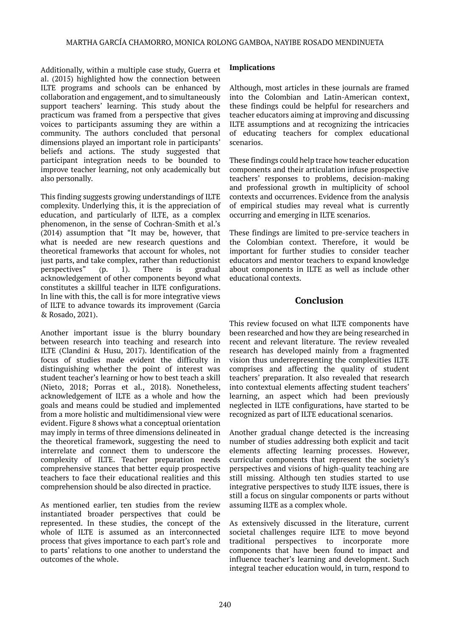Additionally, within a multiple case study, Guerra et al. (2015) highlighted how the connection between ILTE programs and schools can be enhanced by collaboration and engagement, and to simultaneously support teachers' learning. This study about the practicum was framed from a perspective that gives voices to participants assuming they are within a community. The authors concluded that personal dimensions played an important role in participants' beliefs and actions. The study suggested that participant integration needs to be bounded to improve teacher learning, not only academically but also personally.

This finding suggests growing understandings of ILTE complexity. Underlying this, it is the appreciation of education, and particularly of ILTE, as a complex phenomenon, in the sense of Cochran-Smith et al.'s (2014) assumption that "It may be, however, that what is needed are new research questions and theoretical frameworks that account for wholes, not just parts, and take complex, rather than reductionist perspectives" (p. 1). There is gradual acknowledgement of other components beyond what constitutes a skillful teacher in ILTE configurations. In line with this, the call is for more integrative views of ILTE to advance towards its improvement (Garcia & Rosado, 2021).

Another important issue is the blurry boundary between research into teaching and research into ILTE (Clandini & Husu, 2017). Identification of the focus of studies made evident the difficulty in distinguishing whether the point of interest was student teacher's learning or how to best teach a skill (Nieto, 2018; Porras et al., 2018). Nonetheless, acknowledgement of ILTE as a whole and how the goals and means could be studied and implemented from a more holistic and multidimensional view were evident. Figure 8 shows what a conceptual orientation may imply in terms of three dimensions delineated in the theoretical framework, suggesting the need to interrelate and connect them to underscore the complexity of ILTE. Teacher preparation needs comprehensive stances that better equip prospective teachers to face their educational realities and this comprehension should be also directed in practice.

As mentioned earlier, ten studies from the review instantiated broader perspectives that could be represented. In these studies, the concept of the whole of ILTE is assumed as an interconnected process that gives importance to each part's role and to parts' relations to one another to understand the outcomes of the whole.

#### **Implications**

Although, most articles in these journals are framed into the Colombian and Latin-American context, these findings could be helpful for researchers and teacher educators aiming at improving and discussing ILTE assumptions and at recognizing the intricacies of educating teachers for complex educational scenarios.

These findings could help trace how teacher education components and their articulation infuse prospective teachers' responses to problems, decision-making and professional growth in multiplicity of school contexts and occurrences. Evidence from the analysis of empirical studies may reveal what is currently occurring and emerging in ILTE scenarios.

These findings are limited to pre-service teachers in the Colombian context. Therefore, it would be important for further studies to consider teacher educators and mentor teachers to expand knowledge about components in ILTE as well as include other educational contexts.

# **Conclusion**

This review focused on what ILTE components have been researched and how they are being researched in recent and relevant literature. The review revealed research has developed mainly from a fragmented vision thus underrepresenting the complexities ILTE comprises and affecting the quality of student teachers' preparation. It also revealed that research into contextual elements affecting student teachers' learning, an aspect which had been previously neglected in ILTE configurations, have started to be recognized as part of ILTE educational scenarios.

Another gradual change detected is the increasing number of studies addressing both explicit and tacit elements affecting learning processes. However, curricular components that represent the society's perspectives and visions of high-quality teaching are still missing. Although ten studies started to use integrative perspectives to study ILTE issues, there is still a focus on singular components or parts without assuming ILTE as a complex whole.

As extensively discussed in the literature, current societal challenges require ILTE to move beyond traditional perspectives to incorporate more components that have been found to impact and influence teacher's learning and development. Such integral teacher education would, in turn, respond to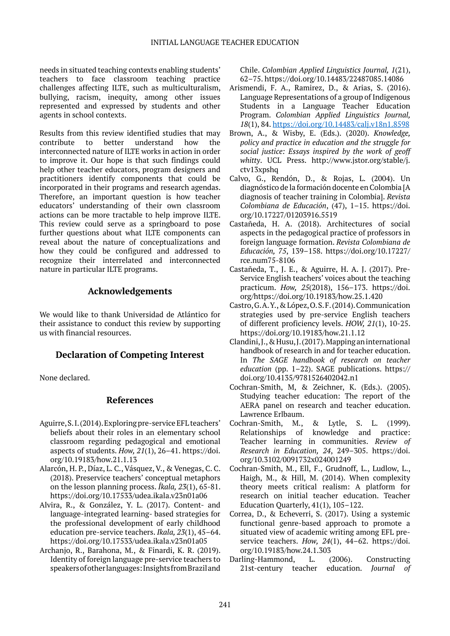needs in situated teaching contexts enabling students' teachers to face classroom teaching practice challenges affecting ILTE, such as multiculturalism, bullying, racism, inequity, among other issues represented and expressed by students and other agents in school contexts.

Results from this review identified studies that may contribute to better understand how the interconnected nature of ILTE works in action in order to improve it. Our hope is that such findings could help other teacher educators, program designers and practitioners identify components that could be incorporated in their programs and research agendas. Therefore, an important question is how teacher educators' understanding of their own classroom actions can be more tractable to help improve ILTE. This review could serve as a springboard to pose further questions about what ILTE components can reveal about the nature of conceptualizations and how they could be configured and addressed to recognize their interrelated and interconnected nature in particular ILTE programs.

# **Acknowledgements**

We would like to thank Universidad de Atlántico for their assistance to conduct this review by supporting us with financial resources.

# **Declaration of Competing Interest**

None declared.

### **References**

- Aguirre, S. I. (2014). Exploring pre-service EFL teachers' beliefs about their roles in an elementary school classroom regarding pedagogical and emotional aspects of students. *How, 21*(1), 26–41. https://doi. org/10.19183/how.21.1.13
- Alarcón, H. P., Díaz, L. C., Vásquez, V., & Venegas, C. C. (2018). Preservice teachers' conceptual metaphors on the lesson planning process. *Íkala, 23*(1), 65-81. https://doi.org/10.17533/udea.ikala.v23n01a06
- Alvira, R., & González, Y. L. (2017). Content- and language-integrated learning- based strategies for the professional development of early childhood education pre-service teachers. *Ikala, 23*(1), 45–64. https://doi.org/10.17533/udea.ikala.v23n01a05
- Archanjo, R., Barahona, M., & Finardi, K. R. (2019). Identity of foreign language pre-service teachers to speakers of other languages: Insights from Brazil and

Chile. *Colombian Applied Linguistics Journal, 1*(21), 62–75. https://doi.org/10.14483/22487085.14086

- Arismendi, F. A., Ramirez, D., & Arias, S. (2016). Language Representations of a group of Indigenous Students in a Language Teacher Education Program. *Colombian Applied Linguistics Journal, 18*(1), 84. <https://doi.org/10.14483/calj.v18n1.8598>
- Brown, A., & Wisby, E. (Eds.). (2020). *Knowledge, policy and practice in education and the struggle for social justice: Essays inspired by the work of geoff whitty*. UCL Press. http://www.jstor.org/stable/j. ctv13xpshq
- Calvo, G., Rendón, D., & Rojas, L. (2004). Un diagnóstico de la formación docente en Colombia [A diagnosis of teacher training in Colombia]. *Revista Colombiana de Educación*, (47), 1–15. https://doi. org/10.17227/01203916.5519
- Castañeda, H. A. (2018). Architectures of social aspects in the pedagogical practice of professors in foreign language formation. *Revista Colombiana de Educación, 75*, 139–158. https://doi.org/10.17227/ rce.num75-8106
- Castañeda, T., J. E., & Aguirre, H. A. J. (2017). Pre-Service English teachers' voices about the teaching practicum. *How, 25*(2018), 156–173. https://doi. org/https://doi.org/10.19183/how.25.1.420
- Castro, G. A. Y., & López, O. S. F. (2014). Communication strategies used by pre-service English teachers of different proficiency levels. *HOW, 21*(1), 10-25. https://doi.org/10.19183/how.21.1.12
- Clandini, J., & Husu, J. (2017). Mapping an international handbook of research in and for teacher education. In *The SAGE handbook of research on teacher education* (pp. 1–22). SAGE publications. https:// doi.org/10.4135/9781526402042.n1
- Cochran-Smith, M, & Zeichner, K. (Eds.). (2005). Studying teacher education: The report of the AERA panel on research and teacher education. Lawrence Erlbaum.
- Cochran-Smith, M., & Lytle, S. L. (1999). Relationships of knowledge and practice: Teacher learning in communities. *Review of Research in Education, 24*, 249–305. https://doi. org/10.3102/0091732x024001249
- Cochran-Smith, M., Ell, F., Grudnoff, L., Ludlow, L., Haigh, M., & Hill, M. (2014). When complexity theory meets critical realism: A platform for research on initial teacher education. Teacher Education Quarterly, 41(1), 105–122.
- Correa, D., & Echeverri, S. (2017). Using a systemic functional genre-based approach to promote a situated view of academic writing among EFL preservice teachers. *How, 24*(1), 44–62. https://doi. org/10.19183/how.24.1.303
- Darling-Hammond, L. (2006). Constructing 21st-century teacher education. *Journal of*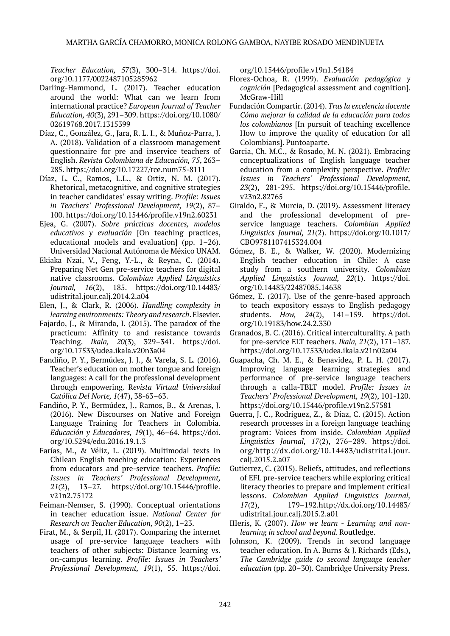*Teacher Education, 57*(3), 300–314. https://doi. org/10.1177/0022487105285962

- Darling-Hammond, L. (2017). Teacher education around the world: What can we learn from international practice? *European Journal of Teacher Education, 40*(3), 291–309. https://doi.org/10.1080/ 02619768.2017.1315399
- Díaz, C., González, G., Jara, R. L. I., & Muñoz-Parra, J. A. (2018). Validation of a classroom management questionnaire for pre and inservice teachers of English. *Revista Colombiana de Educación, 75*, 263– 285. https://doi.org/10.17227/rce.num75-8111
- Díaz, L. C., Ramos, L.L., & Ortiz, N. M. (2017). Rhetorical, metacognitive, and cognitive strategies in teacher candidates' essay writing. *Profile: Issues in Teachers' Professional Development, 19*(2), 87– 100. https://doi.org/10.15446/profile.v19n2.60231
- Ejea, G. (2007). *Sobre prácticas docentes, modelos educativos y evaluación* [On teaching practices, educational models and evaluation] (pp. 1–26). Universidad Nacional Autónoma de México UNAM.
- Ekiaka Nzai, V., Feng, Y.-L., & Reyna, C. (2014). Preparing Net Gen pre-service teachers for digital native classrooms. *Colombian Applied Linguistics Journal, 16*(2), 185. https://doi.org/10.14483/ udistrital.jour.calj.2014.2.a04
- Elen, J., & Clark, R. (2006). *Handling сomplexity in learning environments: Theory and research*. Elsevier.
- Fajardo, J., & Miranda, I. (2015). The paradox of the practicum: Affinity to and resistance towards Teaching. *Ikala, 20*(3), 329–341. https://doi. org/10.17533/udea.ikala.v20n3a04
- Fandiño, P. Y., Bermúdez, J. J., & Varela, S. L. (2016). Teacher's education on mother tongue and foreign languages: A call for the professional development through empowering. R*evista Virtual Universidad Católica Del Norte, 1*(47), 38-63–63.
- Fandiño, P. Y., Bermúdez, J., Ramos, B., & Arenas, J. (2016). New Discourses on Native and Foreign Language Training for Teachers in Colombia. *Educación y Educadores, 19*(1), 46–64. https://doi. org/10.5294/edu.2016.19.1.3
- Farías, M., & Véliz, L. (2019). Multimodal texts in Chilean English teaching education: Experiences from educators and pre-service teachers. *Profile: Issues in Teachers' Professional Development, 21*(2), 13–27. https://doi.org/10.15446/profile. v21n2.75172
- Feiman-Nemser, S. (1990). Conceptual orientations in teacher education issue. *National Center for Research on Teacher Education, 90*(2), 1–23.
- Firat, M., & Serpil, H. (2017). Comparing the internet usage of pre-service language teachers with teachers of other subjects: Distance learning vs. on-campus learning. *Profile: Issues in Teachers' Professional Development, 19*(1), 55. https://doi.

org/10.15446/profile.v19n1.54184

- Florez-Ochoa, R. (1999). *Evaluación pedagógica y cognición* [Pedagogical assessment and cognition]. McGraw-Hill
- Fundación Compartir. (2014). *Tras la excelencia docente Cómo mejorar la calidad de la educación para todos los colombianos* [In pursuit of teaching excellence How to improve the quality of education for all Colombians]. Puntoaparte.
- Garcia, Ch. M.C., & Rosado, M. N. (2021). Embracing conceptualizations of English language teacher education from a complexity perspective. *Profile: Issues in Teachers' Professional Development, 23*(2), 281-295. https://doi.org/10.15446/profile. v23n2.82765
- Giraldo, F., & Murcia, D. (2019). Assessment literacy and the professional development of preservice language teachers. *Colombian Applied Linguistics Journal, 21*(2). https://doi.org/10.1017/ CBO9781107415324.004
- Gómez, B. E., & Walker, W. (2020). Modernizing English teacher education in Chile: A case study from a southern university. *Colombian Applied Linguistics Journal, 22*(1). https://doi. org/10.14483/22487085.14638
- Gómez, E. (2017). Use of the genre-based approach to teach expository essays to English pedagogy students. *How, 24*(2), 141–159. https://doi. org/10.19183/how.24.2.330
- Granados, B. C. (2016). Critical interculturality. A path for pre-service ELT teachers. *Ikala, 21*(2), 171–187. https://doi.org/10.17533/udea.ikala.v21n02a04
- Guapacha, Ch. M. E., & Benavidez, P. L. H. (2017). Improving language learning strategies and performance of pre-service language teachers through a calla-TBLT model. *Profile: Issues in Teachers' Professional Development, 19*(2), 101-120. https://doi.org/10.15446/profile.v19n2.57581
- Guerra, J. C., Rodriguez, Z., & Diaz, C. (2015). Action research processes in a foreign language teaching program: Voices from inside. *Colombian Applied Linguistics Journal, 17*(2), 276–289. https://doi. org/http://dx.doi.org/10.14483/udistrital.jour. calj.2015.2.a07
- Gutierrez, C. (2015). Beliefs, attitudes, and reflections of EFL pre-service teachers while exploring critical literacy theories to prepare and implement critical lessons. *Colombian Applied Linguistics Journal, 17*(2), 179–192.http://dx.doi.org/10.14483/ udistrital.jour.calj.2015.2.a01
- IIIeris, K. (2007). *How we learn Learning and nonlearning in school and beyond*. Routledge.
- Johnson, K. (2009). Trends in second language teacher education. In A. Burns & J. Richards (Eds.), *The Cambridge guide to second language teacher education* (pp. 20–30). Cambridge University Press.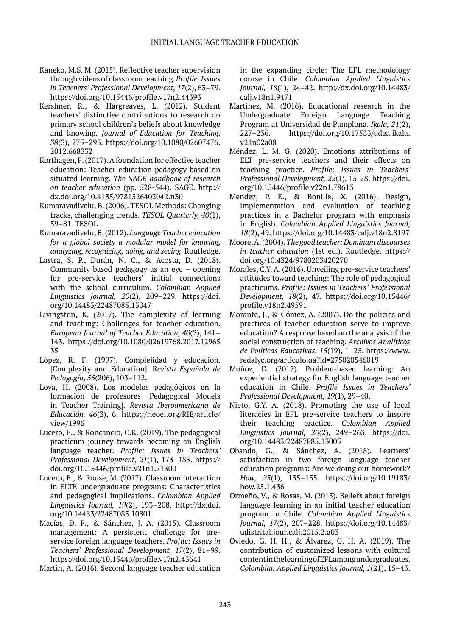- Kaneko, M.S. M. (2015). Reflective teacher supervision through videos of classroom teaching. *Profile: Issues in Teachers' Professional Development, 17*(2), 63–79. https://doi.org/10.15446/profile.v17n2.44393
- Kershner, R., & Hargreaves, L. (2012). Student teachers' distinctive contributions to research on primary school children's beliefs about knowledge and knowing. *Journal of Education for Teaching, 38*(3), 275–293. https://doi.org/10.1080/02607476. 2012.668332
- Korthagen, F. (2017). A foundation for effective teacher education: Teacher education pedagogy based on situated learning. *The SAGE handbook of research on teacher education* (pp. 528-544). SAGE. http:// dx.doi.org/10.4135/9781526402042.n30
- Kumaravadivelu, B. (2006). TESOL Methods: Changing tracks, challenging trends. *TESOL Quarterly, 40*(1), 59–81. TESOL.
- Kumaravadivelu, B. (2012). *Language Teacher education for a global society a modular model for knowing, analyzing, recognizing, doing, and seeing*. Routledge.
- Lastra, S. P., Durán, N. C., & Acosta, D. (2018). Community based pedagogy as an eye – opening for pre-service teachers' initial connections with the school curriculum. *Colombian Applied Linguistics Journal, 20*(2), 209–229. https://doi. org/10.14483/22487085.13047
- Livingston, K. (2017). The complexity of learning and teaching: Challenges for teacher education. *European Journal of Teacher Education, 40*(2), 141– 143. https://doi.org/10.1080/02619768.2017.12965 35
- López, R. F. (1997). Complejidad y educación. [Complexity and Education]. R*evista Española de Pedagogía, 55*(206), 103–112.
- Loya, H. (2008). Los modelos pedagógicos en la formación de profesores [Pedagogical Models in Teacher Training]. *Revista Iberoamericana de Educación, 46*(3), 6. https://rieoei.org/RIE/article/ view/1996
- Lucero, E., & Roncancio, C.K. (2019). The pedagogical practicum journey towards becoming an English language teacher. *Profile: Issues in Teachers' Professional Development, 21*(1), 173–185. https:// doi.org/10.15446/profile.v21n1.71300
- Lucero, E., & Rouse, M. (2017). Classroom interaction in ELTE undergraduate programs: Characteristics and pedagogical implications. *Colombian Applied Linguistics Journal, 19*(2), 193–208. http://dx.doi. org/10.14483/22487085.10801
- Macías, D. F., & Sánchez, J. A. (2015). Classroom management: A persistent challenge for preservice foreign language teachers. *Profile: Issues in Teachers' Professional Development, 17*(2), 81–99. https://doi.org/10.15446/profile.v17n2.43641

Martin, A. (2016). Second language teacher education

in the expanding circle: The EFL methodology course in Chile. *Colombian Applied Linguistics Journal, 18*(1), 24–42. http://dx.doi.org/10.14483/ calj.v18n1.9471

- Martínez, M. (2016). Educational research in the Undergraduate Foreign Language Teaching Program at Universidad de Pamplona. *Ikala, 21*(2), 227–236. https://doi.org/10.17533/udea.ikala. v21n02a08
- Méndez, L. M. G. (2020). Emotions attributions of ELT pre-service teachers and their effects on teaching practice. *Profile: Issues in Teachers' Professional Development, 22*(1), 15-28. https://doi. org/10.15446/profile.v22n1.78613
- Mendez, P. E., & Bonilla, X. (2016). Design, implementation and evaluation of teaching practices in a Bachelor program with emphasis in English. *Colombian Applied Linguistics Journal, 18*(2), 49. https://doi.org/10.14483/calj.v18n2.8197
- Moore, A. (2004). *The good teacher: Dominant discourses in teacher education* (1st ed.). Routledge. https:// doi.org/10.4324/9780203420270
- Morales, C.Y. A. (2016). Unveiling pre-service teachers' attitudes toward teaching: The role of pedagogical practicums. *Profile: Issues in Teachers' Professional Development, 18*(2), 47. https://doi.org/10.15446/ profile.v18n2.49591
- Morante, J., & Gómez, A. (2007). Do the policies and practices of teacher education serve to improve education? A response based on the analysis of the social construction of teaching. *Archivos Analíticos de Políticas Educativas, 15*(19), 1–25. https://www. redalyc.org/articulo.oa?id=275020546019
- Muñoz, D. (2017). Problem-based learning: An experiential strategy for English language teacher education in Chile. *Profile Issues in Teachers' Professional Development, 19*(1), 29–40.
- Nieto, G.Y. A. (2018). Promoting the use of local literacies in EFL pre-service teachers to inspire their teaching practice. *Colombian Applied Linguistics Journal, 20*(2), 249–263. https://doi. org/10.14483/22487085.13005
- Obando, G., & Sánchez, A. (2018). Learners' satisfaction in two foreign language teacher education programs: Are we doing our homework? *How, 25*(1), 135–155. https://doi.org/10.19183/ how.25.1.436
- Ormeño, V., & Rosas, M. (2015). Beliefs about foreign language learning in an initial teacher education program in Chile. *Colombian Applied Linguistics Journal, 17*(2), 207–228. https://doi.org/10.14483/ udistrital.jour.calj.2015.2.a03
- Oviedo, G. H. H., & Álvarez, G. H. A. (2019). The contribution of customized lessons with cultural content in the learning of EFL among undergraduates. *Colombian Applied Linguistics Journal, 1*(21), 15–43.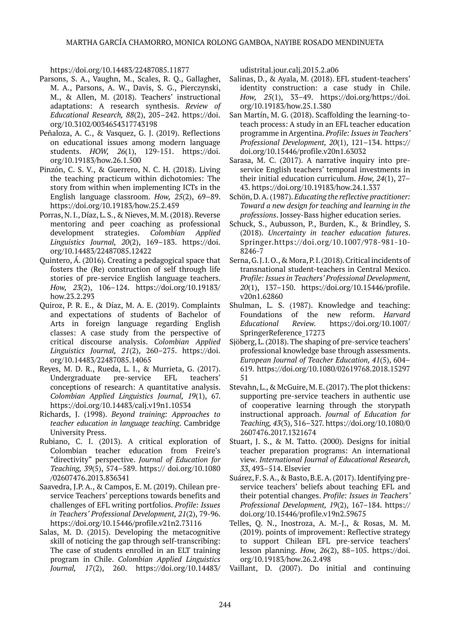https://doi.org/10.14483/22487085.11877

- Parsons, S. A., Vaughn, M., Scales, R. Q., Gallagher, M. A., Parsons, A. W., Davis, S. G., Pierczynski, M., & Allen, M. (2018). Teachers' instructional adaptations: A research synthesis. *Review of Educational Research, 88*(2), 205–242. https://doi. org/10.3102/0034654317743198
- Peñaloza, A. C., & Vasquez, G. J. (2019). Reflections on educational issues among modern language students. *HOW, 26*(1), 129-151. https://doi. org/10.19183/how.26.1.500
- Pinzón, C. S. V., & Guerrero, N. C. H. (2018). Living the teaching practicum within dichotomies: The story from within when implementing ICTs in the English language classroom. *How, 25*(2), 69–89. https://doi.org/10.19183/how.25.2.459
- Porras, N. I., Díaz, L. S., & Nieves, M. M. (2018). Reverse mentoring and peer coaching as professional development strategies. *Colombian Applied Linguistics Journal, 20*(2), 169–183. https://doi. org/10.14483/22487085.12422
- Quintero, Á. (2016). Creating a pedagogical space that fosters the (Re) construction of self through life stories of pre-service English language teachers. *How, 23*(2), 106–124. https://doi.org/10.19183/ how.23.2.293
- Quiroz, P. R. E., & Díaz, M. A. E. (2019). Complaints and expectations of students of Bachelor of Arts in foreign language regarding English classes: A case study from the perspective of critical discourse analysis. *Colombian Applied Linguistics Journal, 21*(2), 260–275. https://doi. org/10.14483/22487085.14065
- Reyes, M. D. R., Rueda, L. I., & Murrieta, G. (2017). Undergraduate pre-service EFL teachers' conceptions of research: A quantitative analysis. *Colombian Applied Linguistics Journal, 19*(1), 67. https://doi.org/10.14483/calj.v19n1.10534
- Richards, J. (1998). *Beyond training: Approaches to teacher education in language teaching*. Cambridge University Press.
- Rubiano, C. I. (2013). A critical exploration of Colombian teacher education from Freire's "directivity" perspective. *Journal of Education for Teaching, 39*(5), 574–589. https:// doi.org/10.1080 /02607476.2013.836341
- Saavedra, J.P. A., & Campos, E. M. (2019). Chilean preservice Teachers' perceptions towards benefits and challenges of EFL writing portfolios. *Profile: Issues in Teachers' Professional Development, 21*(2), 79-96. https://doi.org/10.15446/profile.v21n2.73116
- Salas, M. D. (2015). Developing the metacognitive skill of noticing the gap through self-transcribing: The case of students enrolled in an ELT training program in Chile. *Colombian Applied Linguistics Journal, 17*(2), 260. https://doi.org/10.14483/

udistrital.jour.calj.2015.2.a06

- Salinas, D., & Ayala, M. (2018). EFL student-teachers' identity construction: a case study in Chile. *How, 25*(1), 33–49. https://doi.org/https://doi. org/10.19183/how.25.1.380
- San Martín, M. G. (2018). Scaffolding the learning-toteach process: A study in an EFL teacher education programme in Argentina. *Profile: Issues in Teachers' Professional Development, 20*(1), 121–134. https:// doi.org/10.15446/profile.v20n1.63032
- Sarasa, M. C. (2017). A narrative inquiry into preservice English teachers' temporal investments in their initial education curriculum. *How, 24*(1), 27– 43. https://doi.org/10.19183/how.24.1.337
- Schön, D. A. (1987). *Educating the reflective practitioner: Toward a new design for teaching and learning in the professions*. Jossey-Bass higher education series.
- Schuck, S., Aubusson, P., Burden, K., & Brindley, S. (2018). *Uncertainty in teacher education futures*. Springer.https://doi.org/10.1007/978-981-10- 8246-7
- Serna, G. J. I. O., & Mora, P. I. (2018). Critical incidents of transnational student-teachers in Central Mexico. *Profile: Issues in Teachers' Professional Development, 20*(1), 137–150. https://doi.org/10.15446/profile. v20n1.62860
- Shulman, L. S. (1987). Knowledge and teaching: Foundations of the new reform. *Harvard Educational Review.* https://doi.org/10.1007/ SpringerReference\_17273
- Sjöberg, L. (2018). The shaping of pre-service teachers' professional knowledge base through assessments. *European Journal of Teacher Education, 41*(5), 604– 619. https://doi.org/10.1080/02619768.2018.15297 51
- Stevahn, L., & McGuire, M. E. (2017). The plot thickens: supporting pre-service teachers in authentic use of cooperative learning through the storypath instructional approach. *Journal of Education for Teaching, 43*(3), 316–327. https://doi.org/10.1080/0 2607476.2017.1321674
- Stuart, J. S., & M. Tatto. (2000). Designs for initial teacher preparation programs: An international view. *International Journal of Educational Research, 33*, 493–514. Elsevier
- Suárez, F. S. A., & Basto, B.E. A. (2017). Identifying preservice teachers' beliefs about teaching EFL and their potential changes. *Profile: Issues in Teachers' Professional Development, 19*(2), 167–184. https:// doi.org/10.15446/profile.v19n2.59675
- Telles, Q. N., Inostroza, A. M.-J., & Rosas, M. M. (2019). points of improvement: Reflective strategy to support Chilean EFL pre-service teachers' lesson planning. *How, 26*(2), 88–105. https://doi. org/10.19183/how.26.2.498
- Vaillant, D. (2007). Do initial and continuing